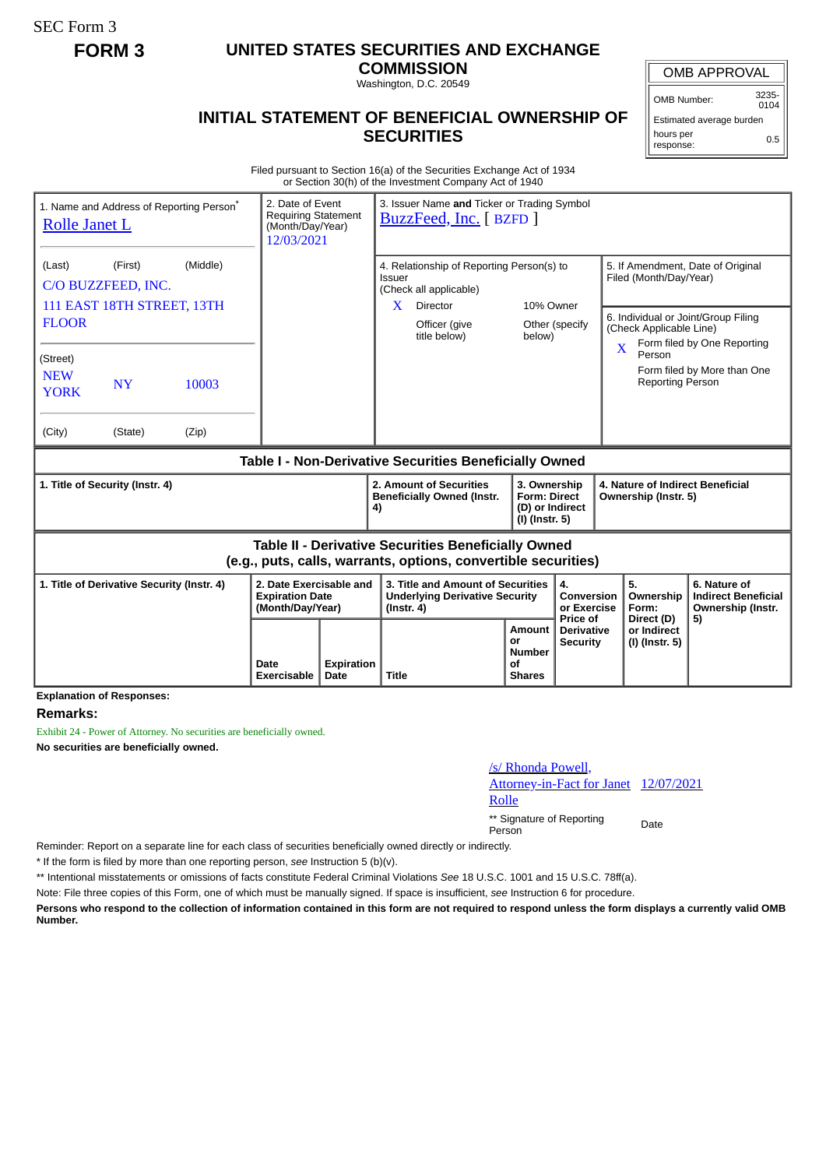SEC Form 3

# **FORM 3 UNITED STATES SECURITIES AND EXCHANGE**

**COMMISSION** Washington, D.C. 20549

## OMB APPROVAL

OMB Number: 3235-  $0104$ 

0.5

## Estimated average burden

hours per response:

### **INITIAL STATEMENT OF BENEFICIAL OWNERSHIP OF SECURITIES**

Filed pursuant to Section 16(a) of the Securities Exchange Act of 1934 or Section 30(h) of the Investment Company Act of 1940

| 1. Name and Address of Reporting Person <sup>®</sup><br><b>Rolle Janet L</b>                                                 | 2. Date of Event<br><b>Requiring Statement</b><br>(Month/Day/Year)<br>12/03/2021 |                           | 3. Issuer Name and Ticker or Trading Symbol<br>BuzzFeed, Inc. [ BZFD ]                         |                                                              |                                                                            |                                             |                                                                                                                          |                                        |                                                                       |
|------------------------------------------------------------------------------------------------------------------------------|----------------------------------------------------------------------------------|---------------------------|------------------------------------------------------------------------------------------------|--------------------------------------------------------------|----------------------------------------------------------------------------|---------------------------------------------|--------------------------------------------------------------------------------------------------------------------------|----------------------------------------|-----------------------------------------------------------------------|
| (First)<br>(Middle)<br>(Last)<br>C/O BUZZFEED, INC.                                                                          |                                                                                  |                           | 4. Relationship of Reporting Person(s) to<br>Issuer<br>(Check all applicable)                  |                                                              |                                                                            |                                             | 5. If Amendment, Date of Original<br>Filed (Month/Day/Year)                                                              |                                        |                                                                       |
| 111 EAST 18TH STREET, 13TH<br><b>FLOOR</b>                                                                                   |                                                                                  |                           | X.                                                                                             | Director<br>Officer (give<br>title below)                    | 10% Owner<br>below)                                                        | Other (specify                              | 6. Individual or Joint/Group Filing<br>(Check Applicable Line)<br>Form filed by One Reporting<br>$\overline{\mathbf{X}}$ |                                        |                                                                       |
| (Street)<br><b>NEW</b><br><b>NY</b><br>10003<br><b>YORK</b>                                                                  |                                                                                  |                           |                                                                                                |                                                              |                                                                            |                                             |                                                                                                                          | Person<br><b>Reporting Person</b>      | Form filed by More than One                                           |
| (City)<br>(Zip)<br>(State)                                                                                                   |                                                                                  |                           |                                                                                                |                                                              |                                                                            |                                             |                                                                                                                          |                                        |                                                                       |
| Table I - Non-Derivative Securities Beneficially Owned                                                                       |                                                                                  |                           |                                                                                                |                                                              |                                                                            |                                             |                                                                                                                          |                                        |                                                                       |
| 1. Title of Security (Instr. 4)                                                                                              |                                                                                  |                           | 4)                                                                                             | 2. Amount of Securities<br><b>Beneficially Owned (Instr.</b> | 3. Ownership<br><b>Form: Direct</b><br>(D) or Indirect<br>$(I)$ (Instr. 5) |                                             | 4. Nature of Indirect Beneficial<br>Ownership (Instr. 5)                                                                 |                                        |                                                                       |
| <b>Table II - Derivative Securities Beneficially Owned</b><br>(e.g., puts, calls, warrants, options, convertible securities) |                                                                                  |                           |                                                                                                |                                                              |                                                                            |                                             |                                                                                                                          |                                        |                                                                       |
| 1. Title of Derivative Security (Instr. 4)                                                                                   | 2. Date Exercisable and<br><b>Expiration Date</b><br>(Month/Day/Year)            |                           | 3. Title and Amount of Securities<br><b>Underlying Derivative Security</b><br>$($ lnstr. 4 $)$ |                                                              |                                                                            | 4.<br>Conversion<br>or Exercise<br>Price of |                                                                                                                          | 5.<br>Ownership<br>Form:<br>Direct (D) | 6. Nature of<br><b>Indirect Beneficial</b><br>Ownership (Instr.<br>5) |
|                                                                                                                              | Date<br><b>Exercisable</b>                                                       | <b>Expiration</b><br>Date | <b>Title</b>                                                                                   |                                                              | Amount<br>or<br><b>Number</b><br>Οf<br><b>Shares</b>                       | <b>Derivative</b><br><b>Security</b>        |                                                                                                                          | or Indirect<br>(I) (Instr. 5)          |                                                                       |

**Explanation of Responses:**

#### **Remarks:**

Exhibit 24 - Power of Attorney. No securities are beneficially owned. **No securities are beneficially owned.**

#### /s/ Rhonda Powell,

Attorney-in-Fact for Janet 12/07/2021

Rolle

\*\* Signature of Reporting Person Date

Reminder: Report on a separate line for each class of securities beneficially owned directly or indirectly.

\* If the form is filed by more than one reporting person, *see* Instruction 5 (b)(v).

\*\* Intentional misstatements or omissions of facts constitute Federal Criminal Violations *See* 18 U.S.C. 1001 and 15 U.S.C. 78ff(a).

Note: File three copies of this Form, one of which must be manually signed. If space is insufficient, *see* Instruction 6 for procedure.

**Persons who respond to the collection of information contained in this form are not required to respond unless the form displays a currently valid OMB Number.**